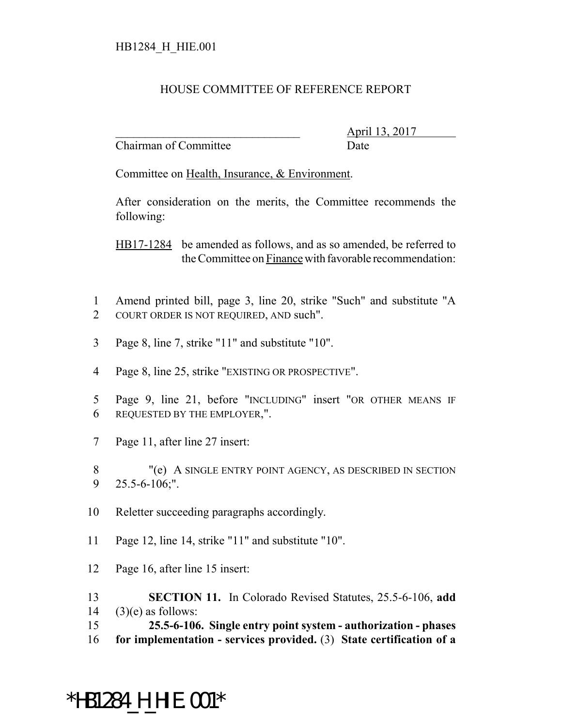## HOUSE COMMITTEE OF REFERENCE REPORT

Chairman of Committee Date

\_\_\_\_\_\_\_\_\_\_\_\_\_\_\_\_\_\_\_\_\_\_\_\_\_\_\_\_\_\_\_ April 13, 2017

Committee on Health, Insurance, & Environment.

After consideration on the merits, the Committee recommends the following:

HB17-1284 be amended as follows, and as so amended, be referred to the Committee on Finance with favorable recommendation:

- 1 Amend printed bill, page 3, line 20, strike "Such" and substitute "A 2 COURT ORDER IS NOT REQUIRED, AND such".
- 3 Page 8, line 7, strike "11" and substitute "10".
- 4 Page 8, line 25, strike "EXISTING OR PROSPECTIVE".
- 5 Page 9, line 21, before "INCLUDING" insert "OR OTHER MEANS IF 6 REQUESTED BY THE EMPLOYER,".
- 7 Page 11, after line 27 insert:
- 8 "(e) A SINGLE ENTRY POINT AGENCY, AS DESCRIBED IN SECTION 9 25.5-6-106;".
- 10 Reletter succeeding paragraphs accordingly.
- 11 Page 12, line 14, strike "11" and substitute "10".
- 12 Page 16, after line 15 insert:
- 13 **SECTION 11.** In Colorado Revised Statutes, 25.5-6-106, **add**  $14$  (3)(e) as follows:

15 **25.5-6-106. Single entry point system - authorization - phases** 16 **for implementation - services provided.** (3) **State certification of a**

## \*HB1284\_H\_HIE.001\*